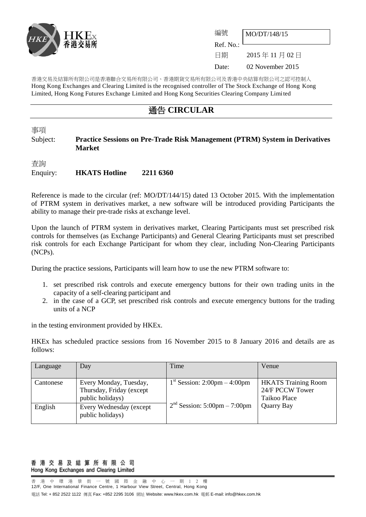

| 編號               | MO/DT/148/15     |
|------------------|------------------|
| $ext{Ref. No.}:$ |                  |
| 日期               | 2015年11月02日      |
| Date:            | 02 November 2015 |

香港交易及結算所有限公司是香港聯合交易所有限公司、香港期貨交易所有限公司及香港中央結算有限公司之認可控制人 Hong Kong Exchanges and Clearing Limited is the recognised controller of The Stock Exchange of Hong Kong Limited, Hong Kong Futures Exchange Limited and Hong Kong Securities Clearing Company Limited

## 通告 **CIRCULAR**

事項

### Subject: **Practice Sessions on Pre-Trade Risk Management (PTRM) System in Derivatives Market**

查詢 Enquiry: **HKATS Hotline 2211 6360**

Reference is made to the circular (ref: MO/DT/144/15) dated 13 October 2015. With the implementation of PTRM system in derivatives market, a new software will be introduced providing Participants the ability to manage their pre-trade risks at exchange level.

Upon the launch of PTRM system in derivatives market, Clearing Participants must set prescribed risk controls for themselves (as Exchange Participants) and General Clearing Participants must set prescribed risk controls for each Exchange Participant for whom they clear, including Non-Clearing Participants (NCPs).

During the practice sessions, Participants will learn how to use the new PTRM software to:

- 1. set prescribed risk controls and execute emergency buttons for their own trading units in the capacity of a self-clearing participant and
- 2. in the case of a GCP, set prescribed risk controls and execute emergency buttons for the trading units of a NCP

in the testing environment provided by HKEx.

HKEx has scheduled practice sessions from 16 November 2015 to 8 January 2016 and details are as follows:

| Language  | Day                      | Time                           | Venue                      |
|-----------|--------------------------|--------------------------------|----------------------------|
|           |                          |                                |                            |
| Cantonese | Every Monday, Tuesday,   | $1st$ Session: 2:00pm – 4:00pm | <b>HKATS</b> Training Room |
|           | Thursday, Friday (except |                                | 24/F PCCW Tower            |
|           | public holidays)         |                                | Taikoo Place               |
| English   | Every Wednesday (except  | $2nd$ Session: 5:00pm – 7:00pm | Quarry Bay                 |
|           | public holidays)         |                                |                            |
|           |                          |                                |                            |

#### 香 港 交 易 及 結 算 所 有 限 公 司 Hong Kong Exchanges and Clearing Limited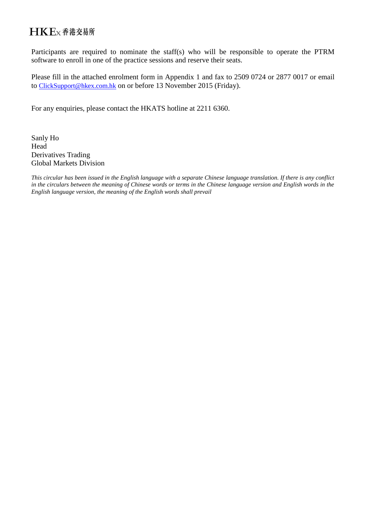# HKEx香港交易所

Participants are required to nominate the staff(s) who will be responsible to operate the PTRM software to enroll in one of the practice sessions and reserve their seats.

Please fill in the attached enrolment form in Appendix 1 and fax to 2509 0724 or 2877 0017 or email to [ClickSupport@hkex.com.hk](mailto:ClickSupport@hkex.com.hk) on or before 13 November 2015 (Friday).

For any enquiries, please contact the HKATS hotline at 2211 6360.

Sanly Ho Head Derivatives Trading Global Markets Division

*This circular has been issued in the English language with a separate Chinese language translation. If there is any conflict in the circulars between the meaning of Chinese words or terms in the Chinese language version and English words in the English language version, the meaning of the English words shall prevail*